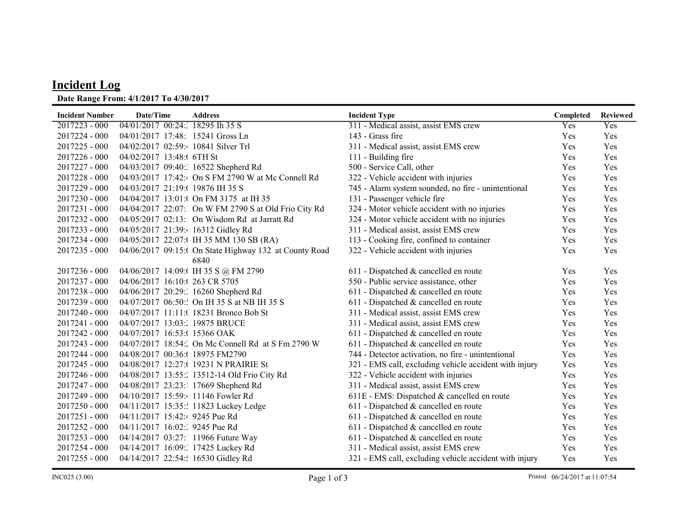## Incident Log

## Date Range From: 4/1/2017 To 4/30/2017

| <b>Incident Number</b> | Date/Time                          | <b>Address</b>                                         | <b>Incident Type</b>                                   | Completed | <b>Reviewed</b> |
|------------------------|------------------------------------|--------------------------------------------------------|--------------------------------------------------------|-----------|-----------------|
| $2017223 - 000$        | 04/01/2017 00:24: 18295 Ih 35 S    |                                                        | 311 - Medical assist, assist EMS crew                  | Yes       | Yes             |
| 2017224 - 000          | 04/01/2017 17:48: 15241 Gross Ln   |                                                        | 143 - Grass fire                                       | Yes       | Yes             |
| 2017225 - 000          | 04/02/2017 02:59: 10841 Silver Trl |                                                        | 311 - Medical assist, assist EMS crew                  | Yes       | Yes             |
| 2017226 - 000          | 04/02/2017 13:48:0 6TH St          |                                                        | 111 - Building fire                                    | Yes       | Yes             |
| $2017227 - 000$        |                                    | 04/03/2017 09:40: 16522 Shepherd Rd                    | 500 - Service Call, other                              | Yes       | Yes             |
| 2017228 - 000          |                                    | 04/03/2017 17:42: On S FM 2790 W at Mc Connell Rd      | 322 - Vehicle accident with injuries                   | Yes       | Yes             |
| 2017229 - 000          | 04/03/2017 21:19:( 19876 IH 35 S   |                                                        | 745 - Alarm system sounded, no fire - unintentional    | Yes       | Yes             |
| 2017230 - 000          |                                    | 04/04/2017 13:01:( On FM 3175 at IH 35                 | 131 - Passenger vehicle fire                           | Yes       | Yes             |
| 2017231 - 000          |                                    | 04/04/2017 22:07: On W FM 2790 S at Old Frio City Rd   | 324 - Motor vehicle accident with no injuries          | Yes       | Yes             |
| 2017232 - 000          |                                    | 04/05/2017 02:13: On Wisdom Rd at Jarratt Rd           | 324 - Motor vehicle accident with no injuries          | Yes       | Yes             |
| 2017233 - 000          | 04/05/2017 21:39:4 16312 Gidley Rd |                                                        | 311 - Medical assist, assist EMS crew                  | Yes       | Yes             |
| 2017234 - 000          |                                    | 04/05/2017 22:07:(IH 35 MM 130 SB (RA)                 | 113 - Cooking fire, confined to container              | Yes       | Yes             |
| 2017235 - 000          |                                    | 04/06/2017 09:15:( On State Highway 132 at County Road | 322 - Vehicle accident with injuries                   | Yes       | Yes             |
|                        |                                    | 6840                                                   |                                                        |           |                 |
| 2017236 - 000          |                                    | 04/06/2017 14:09:( IH 35 S @ FM 2790                   | 611 - Dispatched & cancelled en route                  | Yes       | Yes             |
| 2017237 - 000          | 04/06/2017 16:10:( 263 CR 5705     |                                                        | 550 - Public service assistance, other                 | Yes       | Yes             |
| 2017238 - 000          |                                    | 04/06/2017 20:29: 16260 Shepherd Rd                    | 611 - Dispatched & cancelled en route                  | Yes       | Yes             |
| 2017239 - 000          |                                    | 04/07/2017 06:50: On IH 35 S at NB IH 35 S             | 611 - Dispatched & cancelled en route                  | Yes       | Yes             |
| 2017240 - 000          |                                    | 04/07/2017 11:11: (18231 Bronco Bob St                 | 311 - Medical assist, assist EMS crew                  | Yes       | Yes             |
| 2017241 - 000          | 04/07/2017 13:03: 19875 BRUCE      |                                                        | 311 - Medical assist, assist EMS crew                  | Yes       | Yes             |
| 2017242 - 000          | 04/07/2017 16:53:(15366 OAK        |                                                        | $611$ - Dispatched & cancelled en route                | Yes       | Yes             |
| $2017243 - 000$        |                                    | 04/07/2017 18:54: On Mc Connell Rd at S Fm 2790 W      | 611 - Dispatched & cancelled en route                  | Yes       | Yes             |
| 2017244 - 000          | 04/08/2017 00:36:(18975 FM2790     |                                                        | 744 - Detector activation, no fire - unintentional     | Yes       | Yes             |
| 2017245 - 000          |                                    | 04/08/2017 12:27:( 19231 N PRAIRIE St                  | 321 - EMS call, excluding vehicle accident with injury | Yes       | Yes             |
| 2017246 - 000          |                                    | 04/08/2017 13:55: 13512-14 Old Frio City Rd            | 322 - Vehicle accident with injuries                   | Yes       | Yes             |
| 2017247 - 000          |                                    | 04/08/2017 23:23:1 17669 Shepherd Rd                   | 311 - Medical assist, assist EMS crew                  | Yes       | Yes             |
| 2017249 - 000          | 04/10/2017 15:59: 11146 Fowler Rd  |                                                        | 611E - EMS: Dispatched & cancelled en route            | Yes       | Yes             |
| 2017250 - 000          |                                    | 04/11/2017 15:35:: 11823 Luckey Ledge                  | 611 - Dispatched & cancelled en route                  | Yes       | Yes             |
| 2017251 - 000          | 04/11/2017 15:42:4 9245 Pue Rd     |                                                        | 611 - Dispatched & cancelled en route                  | Yes       | Yes             |
| 2017252 - 000          | 04/11/2017 16:02: 9245 Pue Rd      |                                                        | 611 - Dispatched & cancelled en route                  | Yes       | Yes             |
| 2017253 - 000          | 04/14/2017 03:27: 11966 Future Way |                                                        | 611 - Dispatched & cancelled en route                  | Yes       | Yes             |
| 2017254 - 000          | 04/14/2017 16:09: 17425 Luckey Rd  |                                                        | 311 - Medical assist, assist EMS crew                  | Yes       | Yes             |
| 2017255 - 000          | 04/14/2017 22:54:: 16530 Gidley Rd |                                                        | 321 - EMS call, excluding vehicle accident with injury | Yes       | Yes             |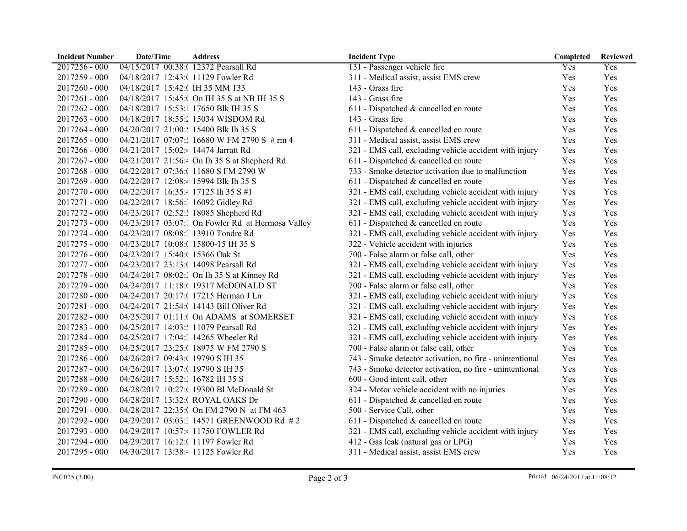| <b>Incident Number</b> | Date/Time                            | <b>Address</b>                                   | <b>Incident Type</b>                                     | Completed | <b>Reviewed</b> |
|------------------------|--------------------------------------|--------------------------------------------------|----------------------------------------------------------|-----------|-----------------|
| 2017256 - 000          | 04/15/2017 00:38:( 12372 Pearsall Rd |                                                  | 131 - Passenger vehicle fire                             | Yes       | Yes             |
| 2017259 - 000          | 04/18/2017 12:43:( 11129 Fowler Rd   |                                                  | 311 - Medical assist, assist EMS crew                    | Yes       | Yes             |
| $2017260 - 000$        | 04/18/2017 15:42:(IH 35 MM 133       |                                                  | 143 - Grass fire                                         | Yes       | Yes             |
| 2017261 - 000          |                                      | 04/18/2017 15:45:( On IH 35 S at NB IH 35 S      | 143 - Grass fire                                         | Yes       | Yes             |
| 2017262 - 000          | 04/18/2017 15:53:1 17650 Blk IH 35 S |                                                  | 611 - Dispatched & cancelled en route                    | Yes       | Yes             |
| 2017263 - 000          |                                      | 04/18/2017 18:55: 15034 WISDOM Rd                | 143 - Grass fire                                         | Yes       | Yes             |
| 2017264 - 000          | 04/20/2017 21:00:: 15400 Blk Ih 35 S |                                                  | 611 - Dispatched & cancelled en route                    | Yes       | Yes             |
| 2017265 - 000          |                                      | 04/21/2017 07:07:: 16680 W FM 2790 S # rm 4      | 311 - Medical assist, assist EMS crew                    | Yes       | Yes             |
| 2017266 - 000          | 04/21/2017 15:02:4 14474 Jarratt Rd  |                                                  | 321 - EMS call, excluding vehicle accident with injury   | Yes       | Yes             |
| 2017267 - 000          |                                      | 04/21/2017 21:56: On Ih 35 S at Shepherd Rd      | 611 - Dispatched & cancelled en route                    | Yes       | Yes             |
| $2017268 - 000$        |                                      | 04/22/2017 07:36:(11680 S FM 2790 W              | 733 - Smoke detector activation due to malfunction       | Yes       | Yes             |
| 2017269 - 000          | 04/22/2017 12:08:4 15994 Blk Ih 35 S |                                                  | 611 - Dispatched & cancelled en route                    | Yes       | Yes             |
| 2017270 - 000          | 04/22/2017 16:35:4 17125 Ih 35 S #1  |                                                  | 321 - EMS call, excluding vehicle accident with injury   | Yes       | Yes             |
| 2017271 - 000          | 04/22/2017 18:56: 16092 Gidley Rd    |                                                  | 321 - EMS call, excluding vehicle accident with injury   | Yes       | Yes             |
| 2017272 - 000          | 04/23/2017 02:52:: 18085 Shepherd Rd |                                                  | 321 - EMS call, excluding vehicle accident with injury   | Yes       | Yes             |
| 2017273 - 000          |                                      | 04/23/2017 03:07: On Fowler Rd at Hermosa Valley | 611 - Dispatched & cancelled en route                    | Yes       | Yes             |
| 2017274 - 000          | 04/23/2017 08:08: 13910 Tondre Rd    |                                                  | 321 - EMS call, excluding vehicle accident with injury   | Yes       | Yes             |
| 2017275 - 000          | 04/23/2017 10:08:( 15800-15 IH 35 S  |                                                  | 322 - Vehicle accident with injuries                     | Yes       | Yes             |
| 2017276 - 000          | 04/23/2017 15:40:( 15366 Oak St      |                                                  | 700 - False alarm or false call, other                   | Yes       | Yes             |
| 2017277 - 000          | 04/23/2017 23:13:( 14098 Pearsall Rd |                                                  | 321 - EMS call, excluding vehicle accident with injury   | Yes       | Yes             |
| 2017278 - 000          |                                      | 04/24/2017 08:02: On Ih 35 S at Kinney Rd        | 321 - EMS call, excluding vehicle accident with injury   | Yes       | Yes             |
| 2017279 - 000          |                                      | 04/24/2017 11:18:( 19317 McDONALD ST             | 700 - False alarm or false call, other                   | Yes       | Yes             |
| 2017280 - 000          |                                      | 04/24/2017 20:17:( 17215 Herman J Ln             | 321 - EMS call, excluding vehicle accident with injury   | Yes       | Yes             |
| 2017281 - 000          |                                      | 04/24/2017 21:54:(14143 Bill Oliver Rd           | 321 - EMS call, excluding vehicle accident with injury   | Yes       | Yes             |
| 2017282 - 000          |                                      | 04/25/2017 01:11:( On ADAMS at SOMERSET          | 321 - EMS call, excluding vehicle accident with injury   | Yes       | Yes             |
| 2017283 - 000          | 04/25/2017 14:03:: 11079 Pearsall Rd |                                                  | 321 - EMS call, excluding vehicle accident with injury   | Yes       | Yes             |
| 2017284 - 000          | 04/25/2017 17:04: 14265 Wheeler Rd   |                                                  | 321 - EMS call, excluding vehicle accident with injury   | Yes       | Yes             |
| 2017285 - 000          |                                      | 04/25/2017 23:25:(18975 W FM 2790 S              | 700 - False alarm or false call, other                   | Yes       | Yes             |
| 2017286 - 000          | 04/26/2017 09:43:(19790 S IH 35      |                                                  | 743 - Smoke detector activation, no fire - unintentional | Yes       | Yes             |
| 2017287 - 000          | 04/26/2017 13:07:( 19790 S IH 35     |                                                  | 743 - Smoke detector activation, no fire - unintentional | Yes       | Yes             |
| 2017288 - 000          | 04/26/2017 15:52: 16782 IH 35 S      |                                                  | 600 - Good intent call, other                            | Yes       | Yes             |
| 2017289 - 000          |                                      | 04/28/2017 10:27:( 19300 Bl McDonald St          | 324 - Motor vehicle accident with no injuries            | Yes       | Yes             |
| 2017290 - 000          | 04/28/2017 13:32:( ROYAL OAKS Dr     |                                                  | 611 - Dispatched & cancelled en route                    | Yes       | Yes             |
| 2017291 - 000          |                                      | 04/28/2017 22:35:( On FM 2790 N at FM 463        | 500 - Service Call, other                                | Yes       | Yes             |
| 2017292 - 000          |                                      | 04/29/2017 03:03: 14571 GREENWOOD Rd #2          | 611 - Dispatched & cancelled en route                    | Yes       | Yes             |
| 2017293 - 000          |                                      | 04/29/2017 10:57: 11750 FOWLER Rd                | 321 - EMS call, excluding vehicle accident with injury   | Yes       | Yes             |
| 2017294 - 000          | 04/29/2017 16:12:( 11197 Fowler Rd   |                                                  | 412 - Gas leak (natural gas or LPG)                      | Yes       | Yes             |
| 2017295 - 000          | 04/30/2017 13:38:4 11125 Fowler Rd   |                                                  | 311 - Medical assist, assist EMS crew                    | Yes       | Yes             |